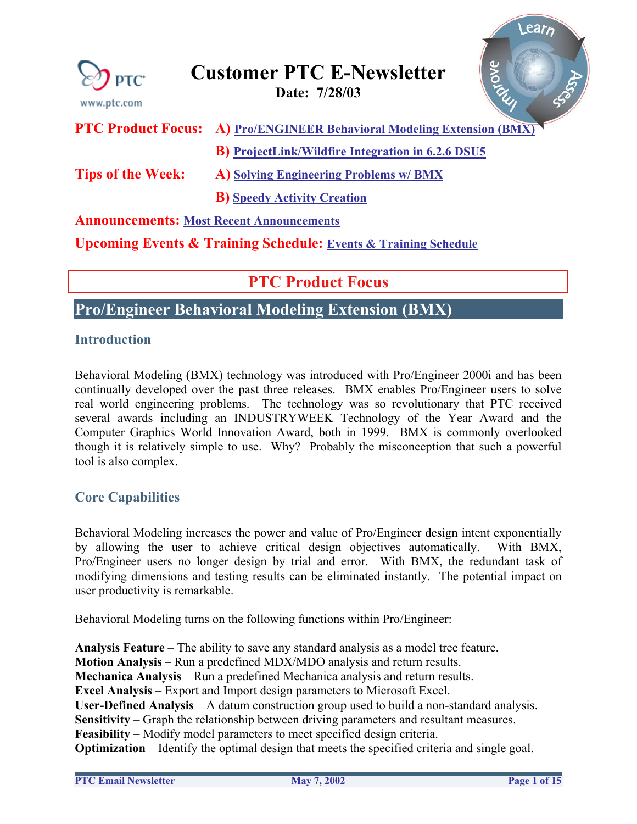<span id="page-0-0"></span>

| PTC <sup>*</sup><br>www.ptc.com                                                | Riove<br><b>Customer PTC E-Newsletter</b><br>Date: 7/28/03 |  |
|--------------------------------------------------------------------------------|------------------------------------------------------------|--|
| <b>PTC Product Focus:</b>                                                      | A) Pro/ENGINEER Behavioral Modeling Extension (BMX)        |  |
|                                                                                | <b>B</b> ) ProjectLink/Wildfire Integration in 6.2.6 DSU5  |  |
| <b>Tips of the Week:</b>                                                       | A) Solving Engineering Problems w/ BMX                     |  |
|                                                                                | <b>B)</b> Speedy Activity Creation                         |  |
| <b>Announcements: Most Recent Announcements</b>                                |                                                            |  |
| <b>Upcoming Events &amp; Training Schedule: Events &amp; Training Schedule</b> |                                                            |  |

## **PTC Product Focus**

**Pro/Engineer Behavioral Modeling Extension (BMX)** 

## **Introduction**

Behavioral Modeling (BMX) technology was introduced with Pro/Engineer 2000i and has been continually developed over the past three releases. BMX enables Pro/Engineer users to solve real world engineering problems. The technology was so revolutionary that PTC received several awards including an INDUSTRYWEEK Technology of the Year Award and the Computer Graphics World Innovation Award, both in 1999. BMX is commonly overlooked though it is relatively simple to use. Why? Probably the misconception that such a powerful tool is also complex.

## **Core Capabilities**

Behavioral Modeling increases the power and value of Pro/Engineer design intent exponentially by allowing the user to achieve critical design objectives automatically. With BMX, Pro/Engineer users no longer design by trial and error. With BMX, the redundant task of modifying dimensions and testing results can be eliminated instantly. The potential impact on user productivity is remarkable.

Behavioral Modeling turns on the following functions within Pro/Engineer:

**Analysis Feature** – The ability to save any standard analysis as a model tree feature. **Motion Analysis** – Run a predefined MDX/MDO analysis and return results. **Mechanica Analysis** – Run a predefined Mechanica analysis and return results. **Excel Analysis** – Export and Import design parameters to Microsoft Excel. **User-Defined Analysis** – A datum construction group used to build a non-standard analysis. **Sensitivity** – Graph the relationship between driving parameters and resultant measures. **Feasibility** – Modify model parameters to meet specified design criteria. **Optimization** – Identify the optimal design that meets the specified criteria and single goal.

 $\text{R}$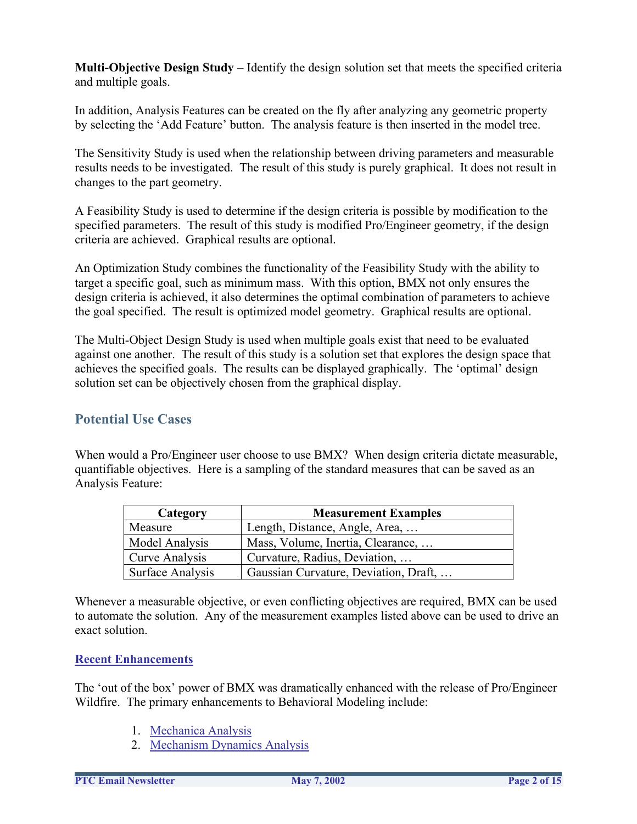**Multi-Objective Design Study** – Identify the design solution set that meets the specified criteria and multiple goals.

In addition, Analysis Features can be created on the fly after analyzing any geometric property by selecting the 'Add Feature' button. The analysis feature is then inserted in the model tree.

The Sensitivity Study is used when the relationship between driving parameters and measurable results needs to be investigated. The result of this study is purely graphical. It does not result in changes to the part geometry.

A Feasibility Study is used to determine if the design criteria is possible by modification to the specified parameters. The result of this study is modified Pro/Engineer geometry, if the design criteria are achieved. Graphical results are optional.

An Optimization Study combines the functionality of the Feasibility Study with the ability to target a specific goal, such as minimum mass. With this option, BMX not only ensures the design criteria is achieved, it also determines the optimal combination of parameters to achieve the goal specified. The result is optimized model geometry. Graphical results are optional.

The Multi-Object Design Study is used when multiple goals exist that need to be evaluated against one another. The result of this study is a solution set that explores the design space that achieves the specified goals. The results can be displayed graphically. The 'optimal' design solution set can be objectively chosen from the graphical display.

## **Potential Use Cases**

When would a Pro/Engineer user choose to use BMX? When design criteria dictate measurable, quantifiable objectives. Here is a sampling of the standard measures that can be saved as an Analysis Feature:

| Category         | <b>Measurement Examples</b>           |
|------------------|---------------------------------------|
| Measure          | Length, Distance, Angle, Area,        |
| Model Analysis   | Mass, Volume, Inertia, Clearance,     |
| Curve Analysis   | Curvature, Radius, Deviation,         |
| Surface Analysis | Gaussian Curvature, Deviation, Draft, |

Whenever a measurable objective, or even conflicting objectives are required, BMX can be used to automate the solution. Any of the measurement examples listed above can be used to drive an exact solution.

#### **Recent Enhancements**

The 'out of the box' power of BMX was dramatically enhanced with the release of Pro/Engineer Wildfire. The primary enhancements to Behavioral Modeling include:

- 1. [Mechanica Analysis](http://www.ptc.com/appserver/mkt/irn/note.jsp?fam=5&rev=2&irnid=1795&pack=21676&lang=en)
- 2. [Mechanism Dynamics Analysis](http://www.ptc.com/appserver/mkt/irn/note.jsp?fam=5&rev=2&irnid=1805&pack=21676&lang=en)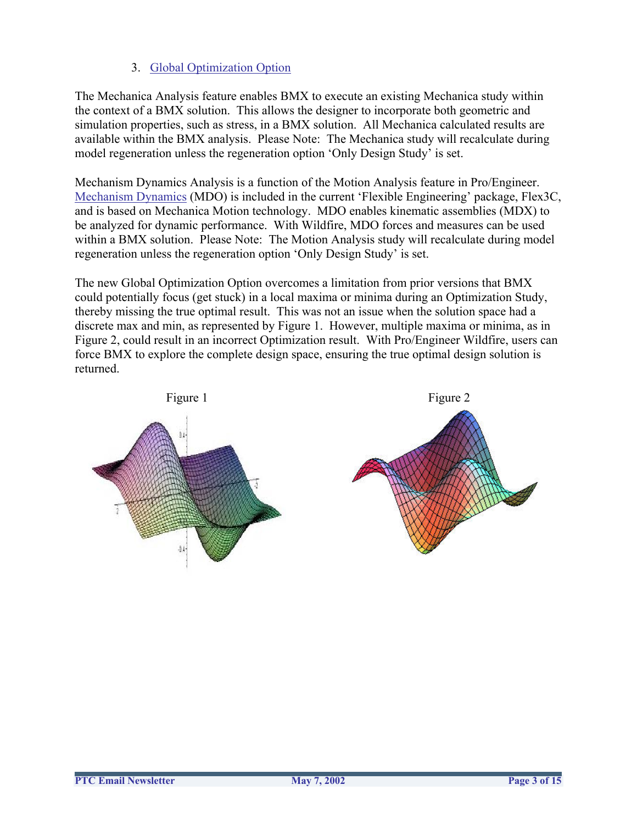### 3. [Global Optimization Option](http://www.ptc.com/appserver/mkt/irn/note.jsp?fam=5&rev=2&irnid=1806&pack=21676&lang=en)

The Mechanica Analysis feature enables BMX to execute an existing Mechanica study within the context of a BMX solution. This allows the designer to incorporate both geometric and simulation properties, such as stress, in a BMX solution. All Mechanica calculated results are available within the BMX analysis. Please Note: The Mechanica study will recalculate during model regeneration unless the regeneration option 'Only Design Study' is set.

Mechanism Dynamics Analysis is a function of the Motion Analysis feature in Pro/Engineer. [Mechanism Dynamics](http://www.ptc.com/appserver/it/icm/cda/template_lib/product/icm01_product_v.jsp?&im_dbkey=2115&im_language=en&tab=try) (MDO) is included in the current 'Flexible Engineering' package, Flex3C, and is based on Mechanica Motion technology. MDO enables kinematic assemblies (MDX) to be analyzed for dynamic performance. With Wildfire, MDO forces and measures can be used within a BMX solution. Please Note: The Motion Analysis study will recalculate during model regeneration unless the regeneration option 'Only Design Study' is set.

The new Global Optimization Option overcomes a limitation from prior versions that BMX could potentially focus (get stuck) in a local maxima or minima during an Optimization Study, thereby missing the true optimal result. This was not an issue when the solution space had a discrete max and min, as represented by Figure 1. However, multiple maxima or minima, as in Figure 2, could result in an incorrect Optimization result. With Pro/Engineer Wildfire, users can force BMX to explore the complete design space, ensuring the true optimal design solution is returned.

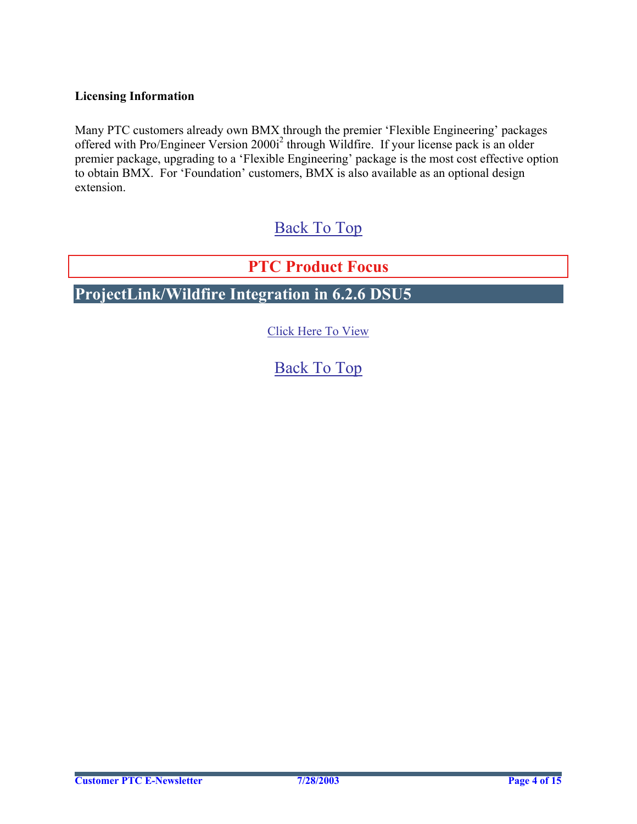### <span id="page-3-0"></span>**Licensing Information**

Many PTC customers already own BMX through the premier 'Flexible Engineering' packages offered with Pro/Engineer Version 2000i<sup>2</sup> through Wildfire. If your license pack is an older premier package, upgrading to a 'Flexible Engineering' package is the most cost effective option to obtain BMX. For 'Foundation' customers, BMX is also available as an optional design extension.

# [Back To Top](#page-0-0)

**PTC Product Focus** 

## **ProjectLink/Wildfire Integration in 6.2.6 DSU5**

[Click Here To View](http://www.ptc-mss.com/Tutorial/Tip_Tech/Customer PTC E-Newsletter 7-28-2003_B.pdf)

[Back To Top](#page-0-0)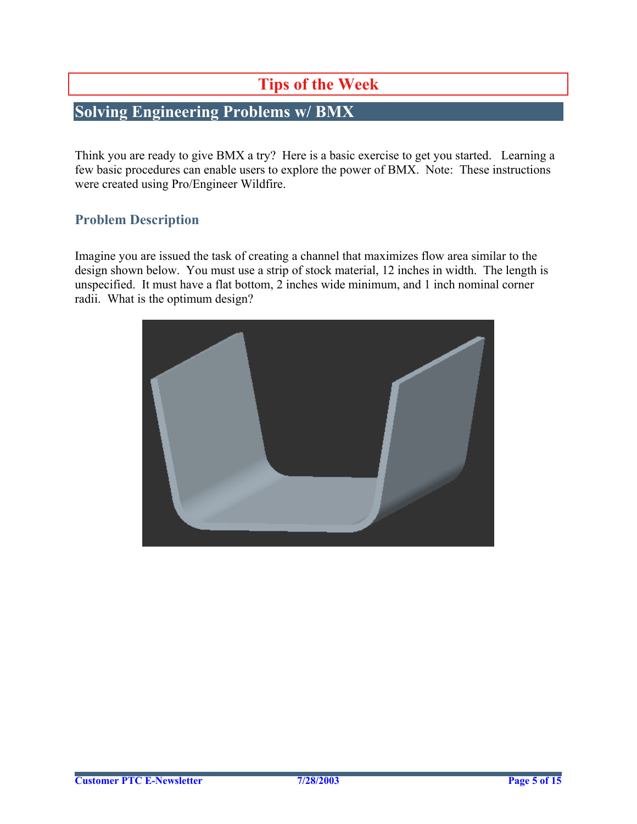# **Tips of the Week**

# <span id="page-4-0"></span>**Solving Engineering Problems w/ BMX**

Think you are ready to give BMX a try? Here is a basic exercise to get you started. Learning a few basic procedures can enable users to explore the power of BMX. Note: These instructions were created using Pro/Engineer Wildfire.

### **Problem Description**

Imagine you are issued the task of creating a channel that maximizes flow area similar to the design shown below. You must use a strip of stock material, 12 inches in width. The length is unspecified. It must have a flat bottom, 2 inches wide minimum, and 1 inch nominal corner radii. What is the optimum design?

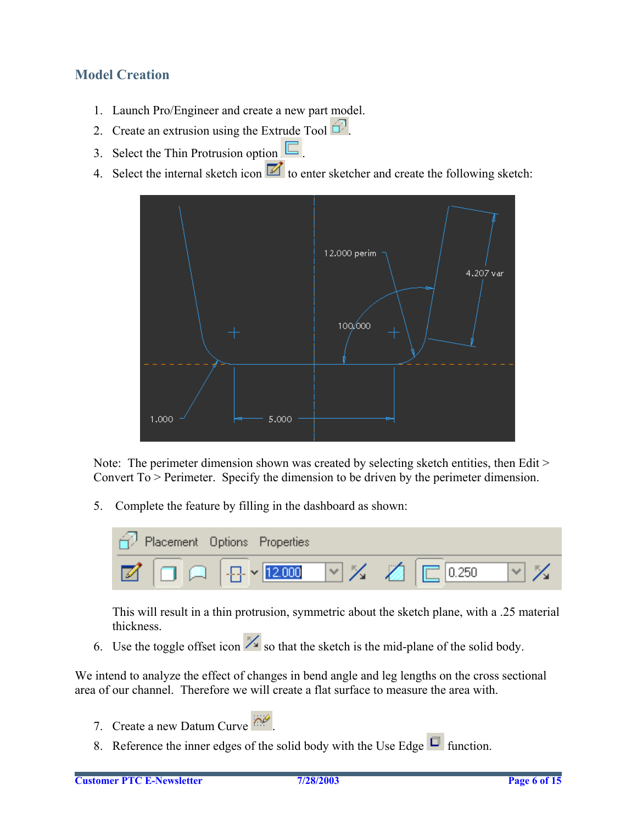## **Model Creation**

- 1. Launch Pro/Engineer and create a new part model.
- 2. Create an extrusion using the Extrude Tool  $\widehat{\mathbb{C}}$ .
- 3. Select the Thin Protrusion option  $\Box$ .
- 4. Select the internal sketch icon  $\blacksquare$  to enter sketcher and create the following sketch:



Note: The perimeter dimension shown was created by selecting sketch entities, then Edit > Convert To > Perimeter. Specify the dimension to be driven by the perimeter dimension.

5. Complete the feature by filling in the dashboard as shown:



This will result in a thin protrusion, symmetric about the sketch plane, with a .25 material thickness.

6. Use the toggle offset icon  $\mathbb{Z}$  so that the sketch is the mid-plane of the solid body.

We intend to analyze the effect of changes in bend angle and leg lengths on the cross sectional area of our channel. Therefore we will create a flat surface to measure the area with.

- 7. Create a new Datum Curve
- 8. Reference the inner edges of the solid body with the Use Edge  $\Box$  function.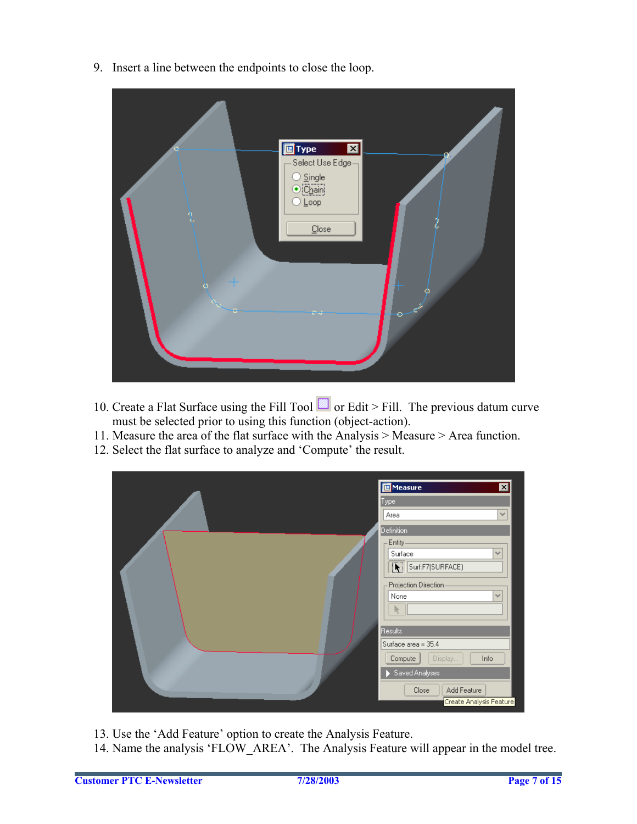9. Insert a line between the endpoints to close the loop.



- 10. Create a Flat Surface using the Fill Tool  $\blacksquare$  or Edit > Fill. The previous datum curve must be selected prior to using this function (object-action).
- 11. Measure the area of the flat surface with the Analysis > Measure > Area function.
- 12. Select the flat surface to analyze and 'Compute' the result.



13. Use the 'Add Feature' option to create the Analysis Feature.

14. Name the analysis 'FLOW\_AREA'. The Analysis Feature will appear in the model tree.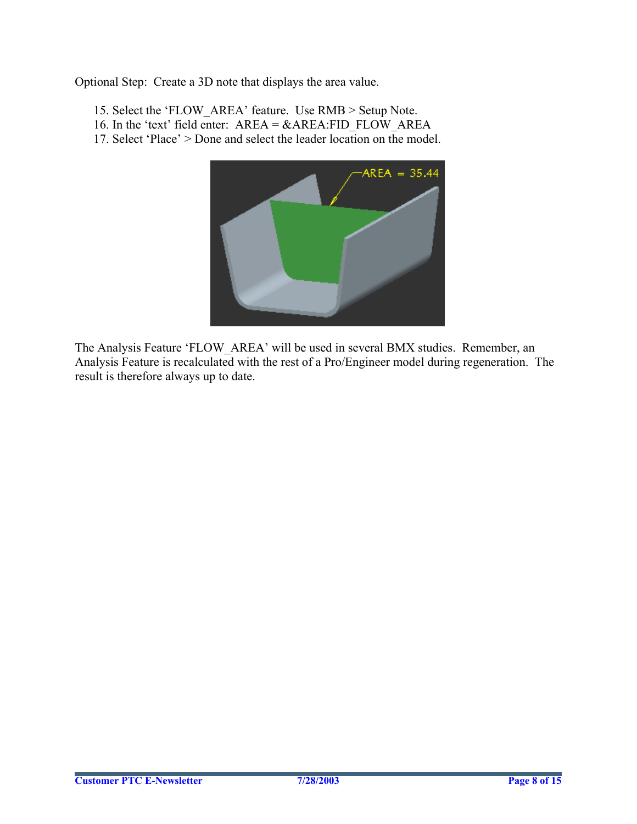Optional Step: Create a 3D note that displays the area value.

15. Select the 'FLOW\_AREA' feature. Use RMB > Setup Note. 16. In the 'text' field enter: AREA = &AREA:FID\_FLOW\_AREA 17. Select 'Place' > Done and select the leader location on the model.



The Analysis Feature 'FLOW\_AREA' will be used in several BMX studies. Remember, an Analysis Feature is recalculated with the rest of a Pro/Engineer model during regeneration. The result is therefore always up to date.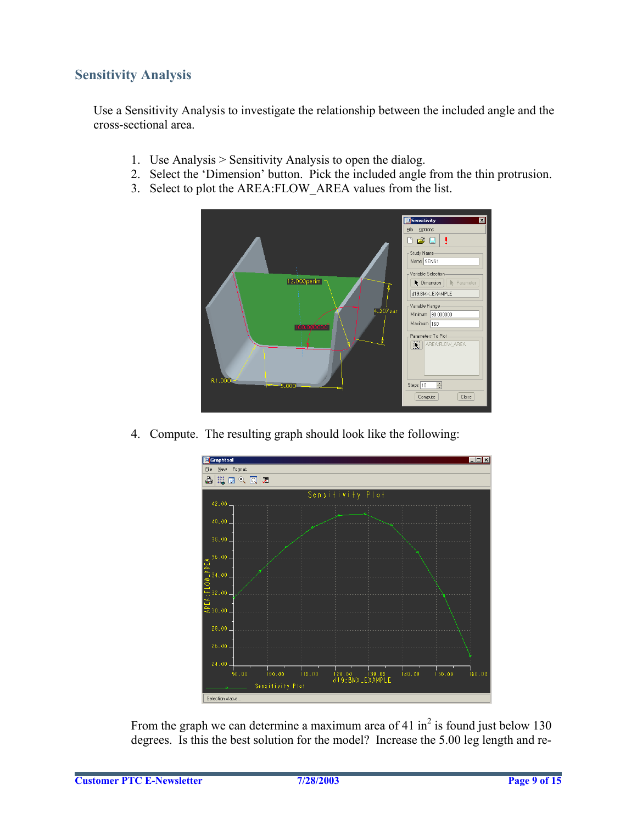## **Sensitivity Analysis**

Use a Sensitivity Analysis to investigate the relationship between the included angle and the cross-sectional area.

- 1. Use Analysis > Sensitivity Analysis to open the dialog.
- 2. Select the 'Dimension' button. Pick the included angle from the thin protrusion.
- 3. Select to plot the AREA:FLOW\_AREA values from the list.



4. Compute. The resulting graph should look like the following:



From the graph we can determine a maximum area of 41 in<sup>2</sup> is found just below 130 degrees. Is this the best solution for the model? Increase the 5.00 leg length and re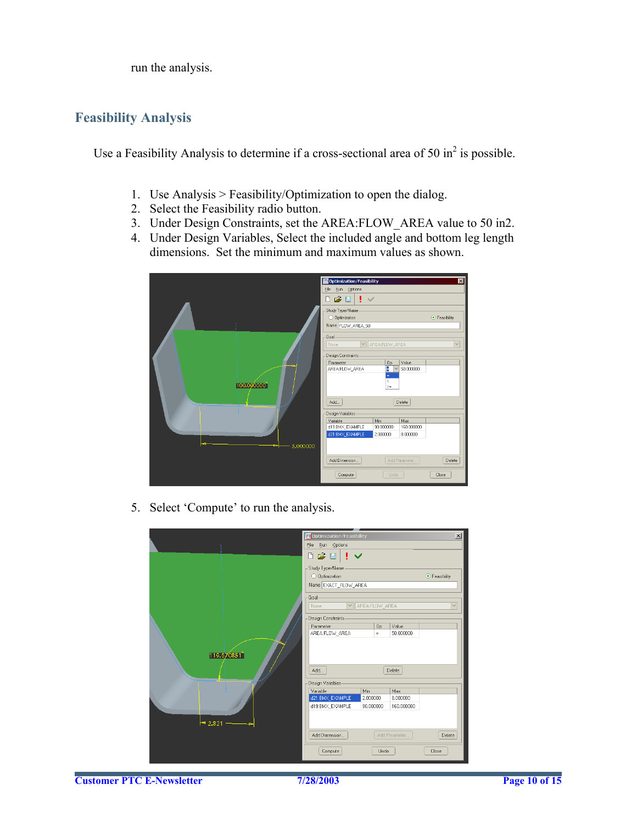run the analysis.

## **Feasibility Analysis**

Use a Feasibility Analysis to determine if a cross-sectional area of 50 in<sup>2</sup> is possible.

- 1. Use Analysis > Feasibility/Optimization to open the dialog.
- 2. Select the Feasibility radio button.
- 3. Under Design Constraints, set the AREA:FLOW\_AREA value to 50 in2.
- 4. Under Design Variables, Select the included angle and bottom leg length dimensions. Set the minimum and maximum values as shown.



5. Select 'Compute' to run the analysis.



**Customer PTC E-Newsletter 7/28/2003 Page 10 of 15**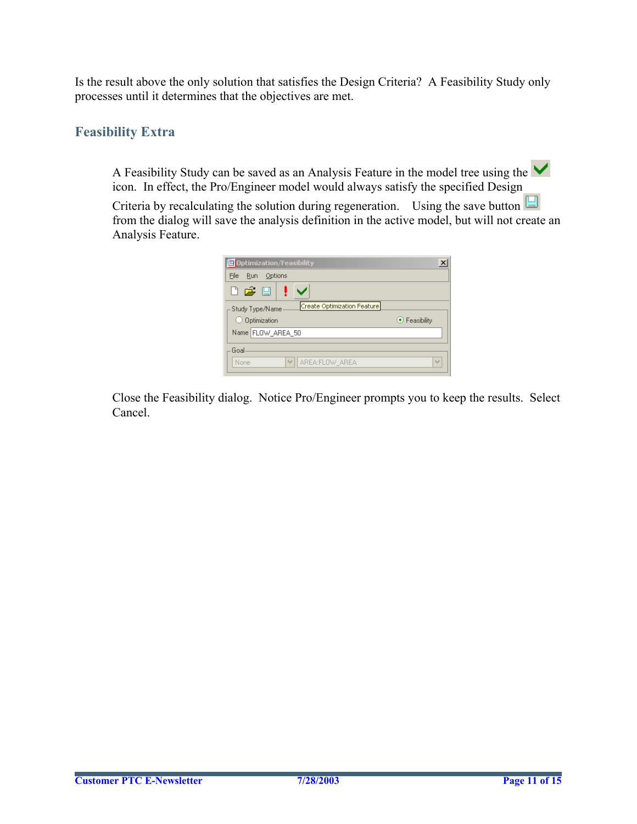Is the result above the only solution that satisfies the Design Criteria? A Feasibility Study only processes until it determines that the objectives are met.

## **Feasibility Extra**

A Feasibility Study can be saved as an Analysis Feature in the model tree using the  $\blacktriangledown$ icon. In effect, the Pro/Engineer model would always satisfy the specified Design

Criteria by recalculating the solution during regeneration. Using the save button  $\Box$ from the dialog will save the analysis definition in the active model, but will not create an Analysis Feature.

| <b>E</b> Optimization/Feasibility                |                     |
|--------------------------------------------------|---------------------|
| File<br>Run<br>Options                           |                     |
| D & U                                            |                     |
| Create Optimization Feature<br>- Study Type/Name |                     |
|                                                  |                     |
| O Optimization                                   | $\odot$ Feasibility |
| Name FLOW_AREA_50                                |                     |
| Goal                                             |                     |

Close the Feasibility dialog. Notice Pro/Engineer prompts you to keep the results. Select Cancel.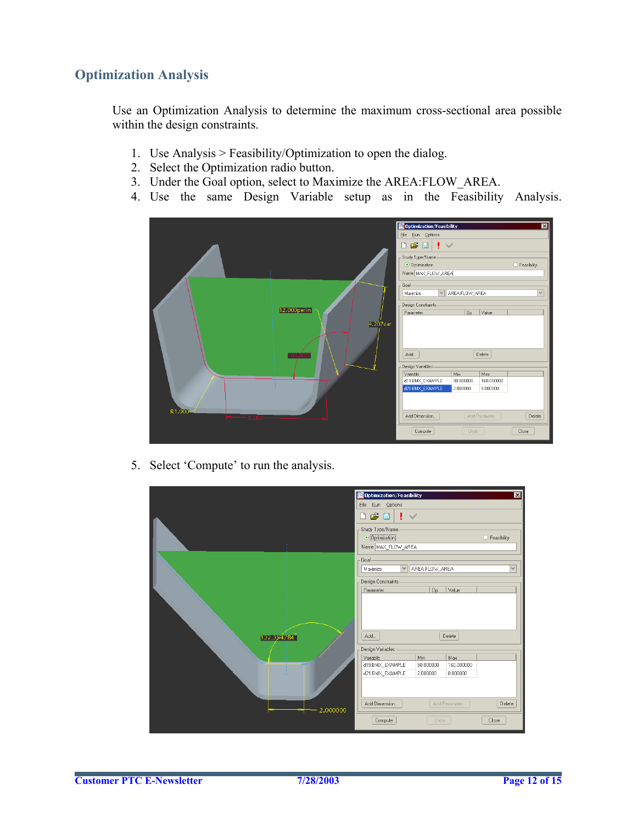## **Optimization Analysis**

Use an Optimization Analysis to determine the maximum cross-sectional area possible within the design constraints.

- 1. Use Analysis > Feasibility/Optimization to open the dialog.
- 2. Select the Optimization radio button.
- 3. Under the Goal option, select to Maximize the AREA:FLOW\_AREA.
- 4. Use the same Design Variable setup as in the Feasibility Analysis.



5. Select 'Compute' to run the analysis.

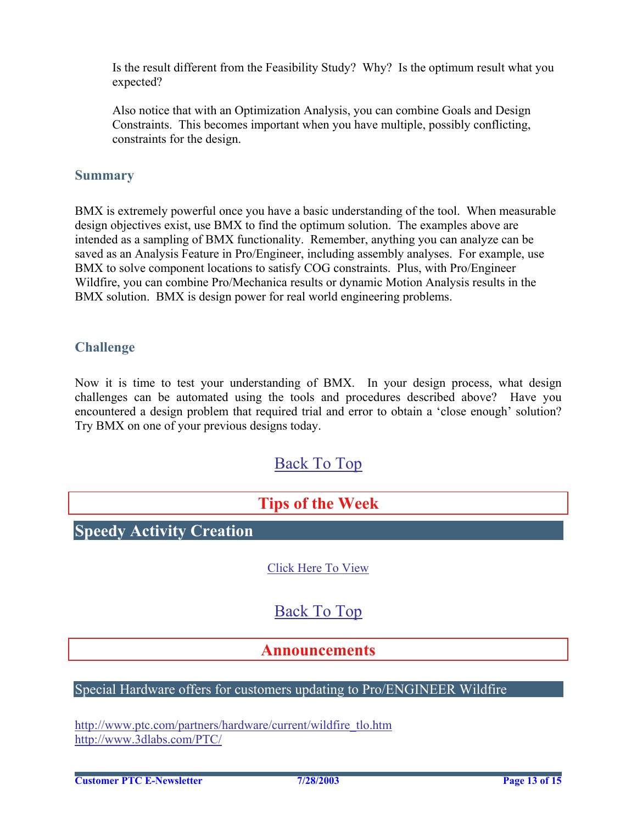<span id="page-12-0"></span>Is the result different from the Feasibility Study? Why? Is the optimum result what you expected?

Also notice that with an Optimization Analysis, you can combine Goals and Design Constraints. This becomes important when you have multiple, possibly conflicting, constraints for the design.

### **Summary**

BMX is extremely powerful once you have a basic understanding of the tool. When measurable design objectives exist, use BMX to find the optimum solution. The examples above are intended as a sampling of BMX functionality. Remember, anything you can analyze can be saved as an Analysis Feature in Pro/Engineer, including assembly analyses. For example, use BMX to solve component locations to satisfy COG constraints. Plus, with Pro/Engineer Wildfire, you can combine Pro/Mechanica results or dynamic Motion Analysis results in the BMX solution. BMX is design power for real world engineering problems.

### **Challenge**

Now it is time to test your understanding of BMX. In your design process, what design challenges can be automated using the tools and procedures described above? Have you encountered a design problem that required trial and error to obtain a 'close enough' solution? Try BMX on one of your previous designs today.

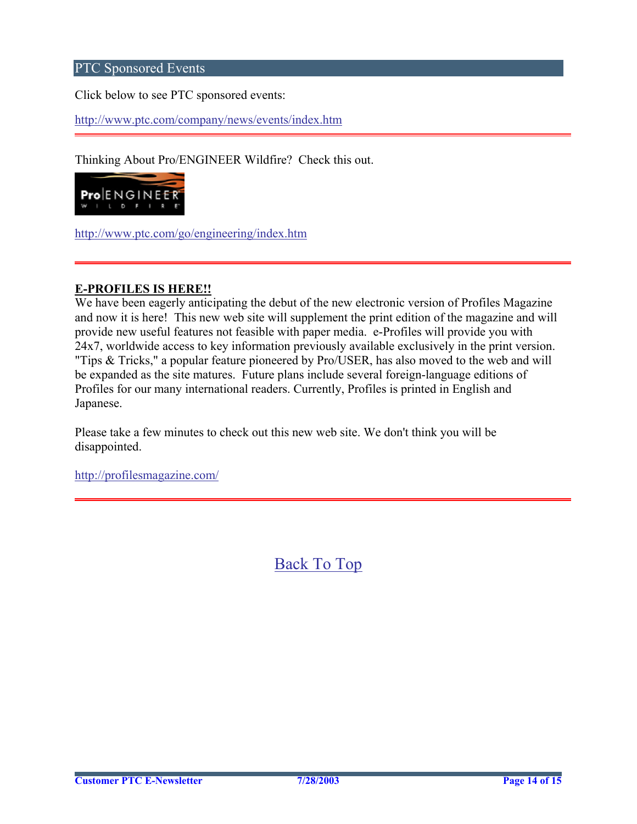## PTC Sponsored Events

Click below to see PTC sponsored events:

<http://www.ptc.com/company/news/events/index.htm>

Thinking About Pro/ENGINEER Wildfire? Check this out.



<http://www.ptc.com/go/engineering/index.htm>

#### **E-PROFILES IS HERE!!**

We have been eagerly anticipating the debut of the new electronic version of Profiles Magazine and now it is here! This new web site will supplement the print edition of the magazine and will provide new useful features not feasible with paper media. e-Profiles will provide you with 24x7, worldwide access to key information previously available exclusively in the print version. "Tips & Tricks," a popular feature pioneered by Pro/USER, has also moved to the web and will be expanded as the site matures. Future plans include several foreign-language editions of Profiles for our many international readers. Currently, Profiles is printed in English and Japanese.

Please take a few minutes to check out this new web site. We don't think you will be disappointed.

<http://profilesmagazine.com/>

[Back To Top](#page-0-0)